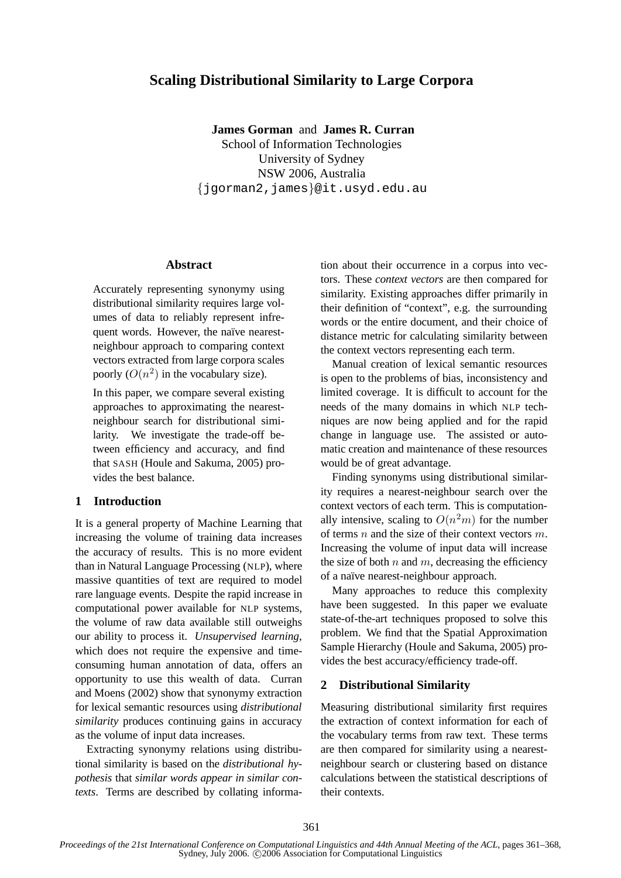# **Scaling Distributional Similarity to Large Corpora**

**James Gorman** and **James R. Curran** School of Information Technologies University of Sydney NSW 2006, Australia {jgorman2,james}@it.usyd.edu.au

### **Abstract**

Accurately representing synonymy using distributional similarity requires large volumes of data to reliably represent infrequent words. However, the naïve nearestneighbour approach to comparing context vectors extracted from large corpora scales poorly  $(O(n^2))$  in the vocabulary size).

In this paper, we compare several existing approaches to approximating the nearestneighbour search for distributional similarity. We investigate the trade-off between efficiency and accuracy, and find that SASH (Houle and Sakuma, 2005) provides the best balance.

## **1 Introduction**

It is a general property of Machine Learning that increasing the volume of training data increases the accuracy of results. This is no more evident than in Natural Language Processing (NLP), where massive quantities of text are required to model rare language events. Despite the rapid increase in computational power available for NLP systems, the volume of raw data available still outweighs our ability to process it. *Unsupervised learning*, which does not require the expensive and timeconsuming human annotation of data, offers an opportunity to use this wealth of data. Curran and Moens (2002) show that synonymy extraction for lexical semantic resources using *distributional similarity* produces continuing gains in accuracy as the volume of input data increases.

Extracting synonymy relations using distributional similarity is based on the *distributional hypothesis* that *similar words appear in similar contexts*. Terms are described by collating information about their occurrence in a corpus into vectors. These *context vectors* are then compared for similarity. Existing approaches differ primarily in their definition of "context", e.g. the surrounding words or the entire document, and their choice of distance metric for calculating similarity between the context vectors representing each term.

Manual creation of lexical semantic resources is open to the problems of bias, inconsistency and limited coverage. It is difficult to account for the needs of the many domains in which NLP techniques are now being applied and for the rapid change in language use. The assisted or automatic creation and maintenance of these resources would be of great advantage.

Finding synonyms using distributional similarity requires a nearest-neighbour search over the context vectors of each term. This is computationally intensive, scaling to  $O(n^2m)$  for the number of terms  $n$  and the size of their context vectors  $m$ . Increasing the volume of input data will increase the size of both  $n$  and  $m$ , decreasing the efficiency of a na¨ıve nearest-neighbour approach.

Many approaches to reduce this complexity have been suggested. In this paper we evaluate state-of-the-art techniques proposed to solve this problem. We find that the Spatial Approximation Sample Hierarchy (Houle and Sakuma, 2005) provides the best accuracy/efficiency trade-off.

### **2 Distributional Similarity**

Measuring distributional similarity first requires the extraction of context information for each of the vocabulary terms from raw text. These terms are then compared for similarity using a nearestneighbour search or clustering based on distance calculations between the statistical descriptions of their contexts.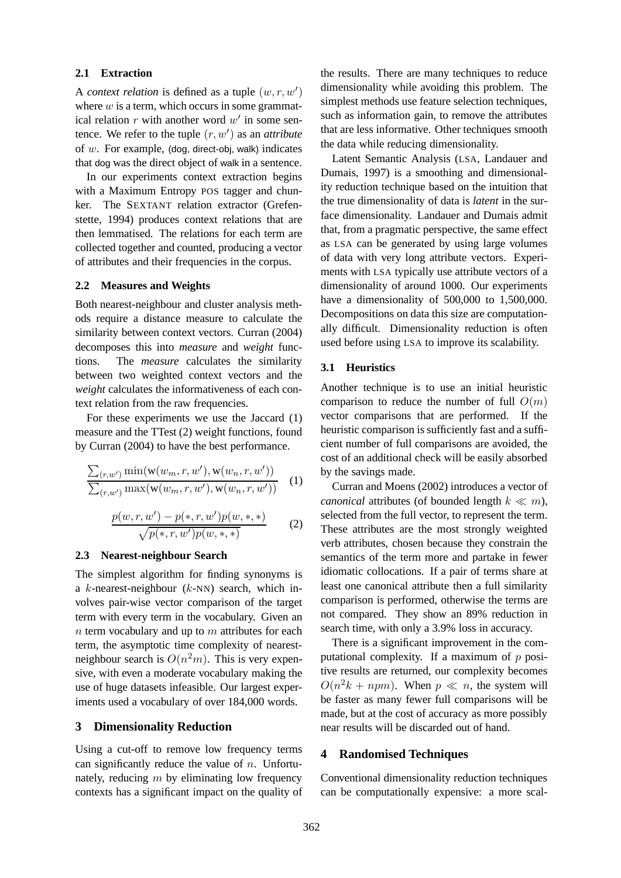### **2.1 Extraction**

A *context relation* is defined as a tuple  $(w, r, w')$ where  $w$  is a term, which occurs in some grammatical relation  $r$  with another word  $w'$  in some sentence. We refer to the tuple  $(r, w')$  as an *attribute* of w. For example, (dog, direct-obj, walk) indicates that dog was the direct object of walk in a sentence.

In our experiments context extraction begins with a Maximum Entropy POS tagger and chunker. The SEXTANT relation extractor (Grefenstette, 1994) produces context relations that are then lemmatised. The relations for each term are collected together and counted, producing a vector of attributes and their frequencies in the corpus.

#### **2.2 Measures and Weights**

Both nearest-neighbour and cluster analysis methods require a distance measure to calculate the similarity between context vectors. Curran (2004) decomposes this into *measure* and *weight* functions. The *measure* calculates the similarity between two weighted context vectors and the *weight* calculates the informativeness of each context relation from the raw frequencies.

For these experiments we use the Jaccard (1) measure and the TTest (2) weight functions, found by Curran (2004) to have the best performance.

$$
\frac{\sum_{(r,w')} \min(w(w_m, r, w'), w(w_n, r, w'))}{\sum_{(r,w')} \max(w(w_m, r, w'), w(w_n, r, w'))}
$$
 (1)

$$
\frac{p(w,r,w') - p(*,r,w')p(w,*,*)}{\sqrt{p(*,r,w')p(w,*,*)}} \qquad (2)
$$

### **2.3 Nearest-neighbour Search**

The simplest algorithm for finding synonyms is a  $k$ -nearest-neighbour  $(k$ -NN) search, which involves pair-wise vector comparison of the target term with every term in the vocabulary. Given an  $n$  term vocabulary and up to  $m$  attributes for each term, the asymptotic time complexity of nearestneighbour search is  $O(n^2m)$ . This is very expensive, with even a moderate vocabulary making the use of huge datasets infeasible. Our largest experiments used a vocabulary of over 184,000 words.

### **3 Dimensionality Reduction**

Using a cut-off to remove low frequency terms can significantly reduce the value of  $n$ . Unfortunately, reducing  $m$  by eliminating low frequency contexts has a significant impact on the quality of

the results. There are many techniques to reduce dimensionality while avoiding this problem. The simplest methods use feature selection techniques, such as information gain, to remove the attributes that are less informative. Other techniques smooth the data while reducing dimensionality.

Latent Semantic Analysis (LSA, Landauer and Dumais, 1997) is a smoothing and dimensionality reduction technique based on the intuition that the true dimensionality of data is *latent* in the surface dimensionality. Landauer and Dumais admit that, from a pragmatic perspective, the same effect as LSA can be generated by using large volumes of data with very long attribute vectors. Experiments with LSA typically use attribute vectors of a dimensionality of around 1000. Our experiments have a dimensionality of 500,000 to 1,500,000. Decompositions on data this size are computationally difficult. Dimensionality reduction is often used before using LSA to improve its scalability.

#### **3.1 Heuristics**

Another technique is to use an initial heuristic comparison to reduce the number of full  $O(m)$ vector comparisons that are performed. If the heuristic comparison is sufficiently fast and a sufficient number of full comparisons are avoided, the cost of an additional check will be easily absorbed by the savings made.

Curran and Moens (2002) introduces a vector of *canonical* attributes (of bounded length  $k \ll m$ ), selected from the full vector, to represent the term. These attributes are the most strongly weighted verb attributes, chosen because they constrain the semantics of the term more and partake in fewer idiomatic collocations. If a pair of terms share at least one canonical attribute then a full similarity comparison is performed, otherwise the terms are not compared. They show an 89% reduction in search time, with only a 3.9% loss in accuracy.

There is a significant improvement in the computational complexity. If a maximum of  $p$  positive results are returned, our complexity becomes  $O(n^2k + npm)$ . When  $p \ll n$ , the system will be faster as many fewer full comparisons will be made, but at the cost of accuracy as more possibly near results will be discarded out of hand.

### **4 Randomised Techniques**

Conventional dimensionality reduction techniques can be computationally expensive: a more scal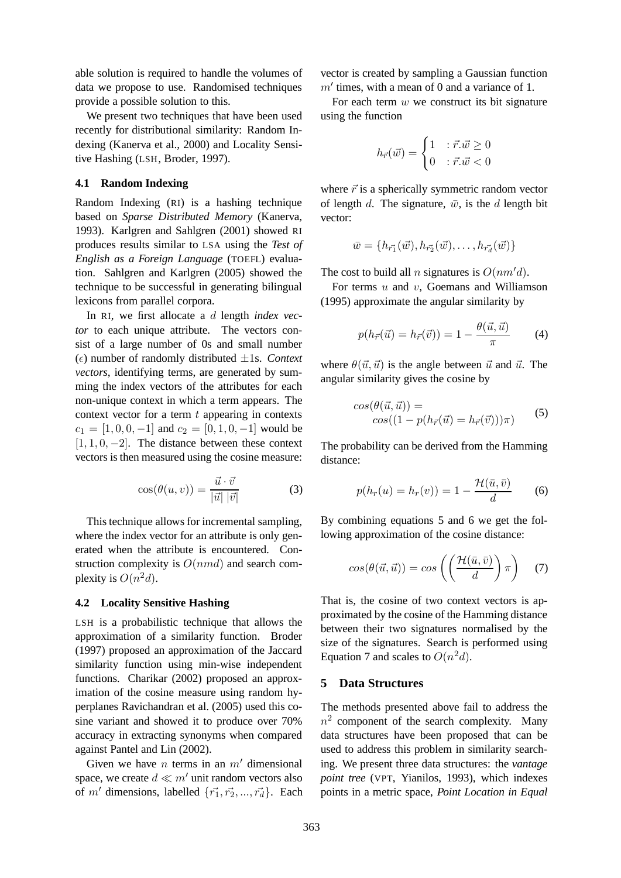able solution is required to handle the volumes of data we propose to use. Randomised techniques provide a possible solution to this.

We present two techniques that have been used recently for distributional similarity: Random Indexing (Kanerva et al., 2000) and Locality Sensitive Hashing (LSH, Broder, 1997).

### **4.1 Random Indexing**

Random Indexing (RI) is a hashing technique based on *Sparse Distributed Memory* (Kanerva, 1993). Karlgren and Sahlgren (2001) showed RI produces results similar to LSA using the *Test of English as a Foreign Language* (TOEFL) evaluation. Sahlgren and Karlgren (2005) showed the technique to be successful in generating bilingual lexicons from parallel corpora.

In RI, we first allocate a d length *index vector* to each unique attribute. The vectors consist of a large number of 0s and small number  $(\epsilon)$  number of randomly distributed  $\pm 1$ s. *Context vectors*, identifying terms, are generated by summing the index vectors of the attributes for each non-unique context in which a term appears. The context vector for a term  $t$  appearing in contexts  $c_1 = [1, 0, 0, -1]$  and  $c_2 = [0, 1, 0, -1]$  would be  $[1, 1, 0, -2]$ . The distance between these context vectors is then measured using the cosine measure:

$$
\cos(\theta(u,v)) = \frac{\vec{u} \cdot \vec{v}}{|\vec{u}| |\vec{v}|}
$$
 (3)

This technique allows for incremental sampling, where the index vector for an attribute is only generated when the attribute is encountered. Construction complexity is  $O(nmd)$  and search complexity is  $O(n^2d)$ .

#### **4.2 Locality Sensitive Hashing**

LSH is a probabilistic technique that allows the approximation of a similarity function. Broder (1997) proposed an approximation of the Jaccard similarity function using min-wise independent functions. Charikar (2002) proposed an approximation of the cosine measure using random hyperplanes Ravichandran et al. (2005) used this cosine variant and showed it to produce over 70% accuracy in extracting synonyms when compared against Pantel and Lin (2002).

Given we have *n* terms in an  $m'$  dimensional space, we create  $d \ll m'$  unit random vectors also of m' dimensions, labelled  $\{\vec{r}_1, \vec{r}_2, ..., \vec{r}_d\}$ . Each vector is created by sampling a Gaussian function  $m'$  times, with a mean of 0 and a variance of 1.

For each term  $w$  we construct its bit signature using the function

$$
h_{\vec{r}}(\vec{w}) = \begin{cases} 1 & \text{: } \vec{r}.\vec{w} \ge 0 \\ 0 & \text{: } \vec{r}.\vec{w} < 0 \end{cases}
$$

where  $\vec{r}$  is a spherically symmetric random vector of length d. The signature,  $\bar{w}$ , is the d length bit vector:

$$
\bar{w} = \{h_{\vec{r_1}}(\vec{w}), h_{\vec{r_2}}(\vec{w}), \dots, h_{\vec{r_d}}(\vec{w})\}
$$

The cost to build all *n* signatures is  $O(nm'd)$ .

For terms  $u$  and  $v$ , Goemans and Williamson (1995) approximate the angular similarity by

$$
p(h_{\vec{r}}(\vec{u}) = h_{\vec{r}}(\vec{v})) = 1 - \frac{\theta(\vec{u}, \vec{u})}{\pi} \tag{4}
$$

where  $\theta(\vec{u}, \vec{u})$  is the angle between  $\vec{u}$  and  $\vec{u}$ . The angular similarity gives the cosine by

$$
cos(\theta(\vec{u}, \vec{u})) =\n cos((1 - p(h_{\vec{r}}(\vec{u}) = h_{\vec{r}}(\vec{v})))\pi)
$$
\n(5)

The probability can be derived from the Hamming distance:

$$
p(h_r(u) = h_r(v)) = 1 - \frac{\mathcal{H}(\bar{u}, \bar{v})}{d} \tag{6}
$$

By combining equations 5 and 6 we get the following approximation of the cosine distance:

$$
cos(\theta(\vec{u}, \vec{u})) = cos\left(\left(\frac{\mathcal{H}(\bar{u}, \bar{v})}{d}\right) \pi\right) \quad (7)
$$

That is, the cosine of two context vectors is approximated by the cosine of the Hamming distance between their two signatures normalised by the size of the signatures. Search is performed using Equation 7 and scales to  $O(n^2d)$ .

## **5 Data Structures**

The methods presented above fail to address the  $n^2$  component of the search complexity. Many data structures have been proposed that can be used to address this problem in similarity searching. We present three data structures: the *vantage point tree* (VPT, Yianilos, 1993), which indexes points in a metric space, *Point Location in Equal*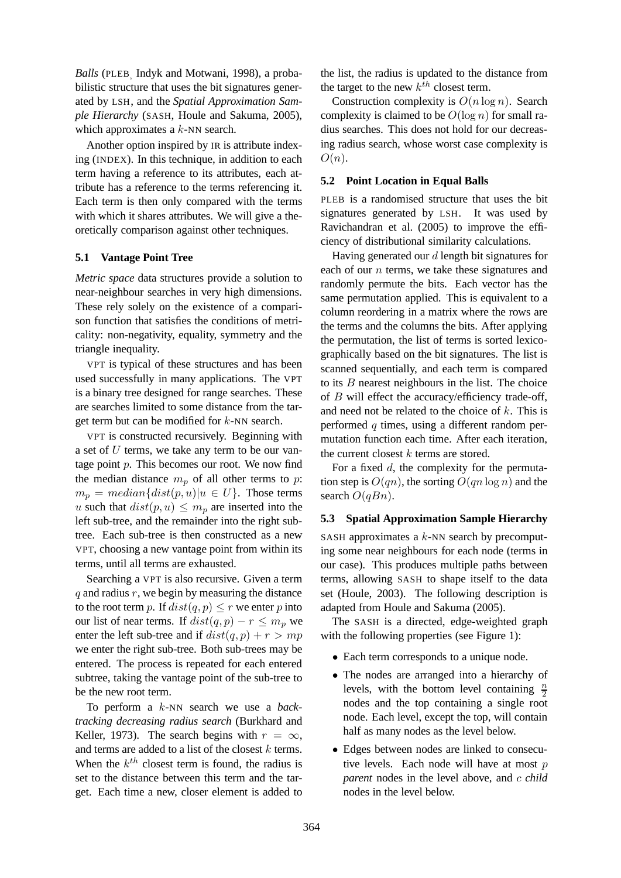*Balls* (PLEB, Indyk and Motwani, 1998), a probabilistic structure that uses the bit signatures generated by LSH, and the *Spatial Approximation Sample Hierarchy* (SASH, Houle and Sakuma, 2005), which approximates a  $k$ -NN search.

Another option inspired by IR is attribute indexing (INDEX). In this technique, in addition to each term having a reference to its attributes, each attribute has a reference to the terms referencing it. Each term is then only compared with the terms with which it shares attributes. We will give a theoretically comparison against other techniques.

### **5.1 Vantage Point Tree**

*Metric space* data structures provide a solution to near-neighbour searches in very high dimensions. These rely solely on the existence of a comparison function that satisfies the conditions of metricality: non-negativity, equality, symmetry and the triangle inequality.

VPT is typical of these structures and has been used successfully in many applications. The VPT is a binary tree designed for range searches. These are searches limited to some distance from the target term but can be modified for k-NN search.

VPT is constructed recursively. Beginning with a set of  $U$  terms, we take any term to be our vantage point p. This becomes our root. We now find the median distance  $m_p$  of all other terms to p:  $m_p = median{dist(p, u)|u \in U}$ . Those terms u such that  $dist(p, u) \leq m_p$  are inserted into the left sub-tree, and the remainder into the right subtree. Each sub-tree is then constructed as a new VPT, choosing a new vantage point from within its terms, until all terms are exhausted.

Searching a VPT is also recursive. Given a term  $q$  and radius  $r$ , we begin by measuring the distance to the root term p. If  $dist(q, p) \leq r$  we enter p into our list of near terms. If  $dist(q, p) - r \leq m_p$  we enter the left sub-tree and if  $dist(q, p) + r > mp$ we enter the right sub-tree. Both sub-trees may be entered. The process is repeated for each entered subtree, taking the vantage point of the sub-tree to be the new root term.

To perform a k-NN search we use a *backtracking decreasing radius search* (Burkhard and Keller, 1973). The search begins with  $r = \infty$ , and terms are added to a list of the closest  $k$  terms. When the  $k^{th}$  closest term is found, the radius is set to the distance between this term and the target. Each time a new, closer element is added to

the list, the radius is updated to the distance from the target to the new  $k^{th}$  closest term.

Construction complexity is  $O(n \log n)$ . Search complexity is claimed to be  $O(\log n)$  for small radius searches. This does not hold for our decreasing radius search, whose worst case complexity is  $O(n)$ .

### **5.2 Point Location in Equal Balls**

PLEB is a randomised structure that uses the bit signatures generated by LSH. It was used by Ravichandran et al. (2005) to improve the efficiency of distributional similarity calculations.

Having generated our  $d$  length bit signatures for each of our  $n$  terms, we take these signatures and randomly permute the bits. Each vector has the same permutation applied. This is equivalent to a column reordering in a matrix where the rows are the terms and the columns the bits. After applying the permutation, the list of terms is sorted lexicographically based on the bit signatures. The list is scanned sequentially, and each term is compared to its  $B$  nearest neighbours in the list. The choice of B will effect the accuracy/efficiency trade-off, and need not be related to the choice of  $k$ . This is performed q times, using a different random permutation function each time. After each iteration, the current closest  $k$  terms are stored.

For a fixed d, the complexity for the permutation step is  $O(qn)$ , the sorting  $O(qn \log n)$  and the search  $O(qBn)$ .

### **5.3 Spatial Approximation Sample Hierarchy**

SASH approximates a  $k$ -NN search by precomputing some near neighbours for each node (terms in our case). This produces multiple paths between terms, allowing SASH to shape itself to the data set (Houle, 2003). The following description is adapted from Houle and Sakuma (2005).

The SASH is a directed, edge-weighted graph with the following properties (see Figure 1):

- Each term corresponds to a unique node.
- The nodes are arranged into a hierarchy of levels, with the bottom level containing  $\frac{n}{2}$ nodes and the top containing a single root node. Each level, except the top, will contain half as many nodes as the level below.
- Edges between nodes are linked to consecutive levels. Each node will have at most  $p$ *parent* nodes in the level above, and c *child* nodes in the level below.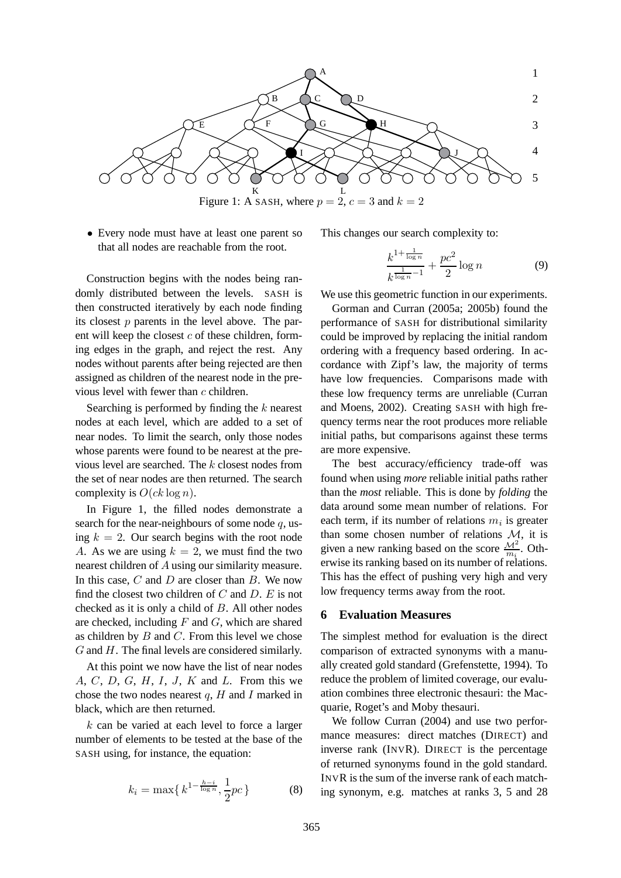

• Every node must have at least one parent so that all nodes are reachable from the root.

Construction begins with the nodes being randomly distributed between the levels. SASH is then constructed iteratively by each node finding its closest  $p$  parents in the level above. The parent will keep the closest  $c$  of these children, forming edges in the graph, and reject the rest. Any nodes without parents after being rejected are then assigned as children of the nearest node in the previous level with fewer than c children.

Searching is performed by finding the  $k$  nearest nodes at each level, which are added to a set of near nodes. To limit the search, only those nodes whose parents were found to be nearest at the previous level are searched. The k closest nodes from the set of near nodes are then returned. The search complexity is  $O(ck \log n)$ .

In Figure 1, the filled nodes demonstrate a search for the near-neighbours of some node  $q$ , using  $k = 2$ . Our search begins with the root node A. As we are using  $k = 2$ , we must find the two nearest children of A using our similarity measure. In this case,  $C$  and  $D$  are closer than  $B$ . We now find the closest two children of  $C$  and  $D$ .  $E$  is not checked as it is only a child of  $B$ . All other nodes are checked, including  $F$  and  $G$ , which are shared as children by  $B$  and  $C$ . From this level we chose G and H. The final levels are considered similarly.

At this point we now have the list of near nodes A, C, D, G, H, I, J, K and L. From this we chose the two nodes nearest  $q$ ,  $H$  and  $I$  marked in black, which are then returned.

 $k$  can be varied at each level to force a larger number of elements to be tested at the base of the SASH using, for instance, the equation:

$$
k_i = \max\{k^{1 - \frac{h - i}{\log n}}, \frac{1}{2}pc\}
$$
 (8)

This changes our search complexity to:

$$
\frac{k^{1+\frac{1}{\log n}}}{k^{\frac{1}{\log n}-1}} + \frac{pc^2}{2}\log n\tag{9}
$$

We use this geometric function in our experiments.

Gorman and Curran (2005a; 2005b) found the performance of SASH for distributional similarity could be improved by replacing the initial random ordering with a frequency based ordering. In accordance with Zipf's law, the majority of terms have low frequencies. Comparisons made with these low frequency terms are unreliable (Curran and Moens, 2002). Creating SASH with high frequency terms near the root produces more reliable initial paths, but comparisons against these terms are more expensive.

The best accuracy/efficiency trade-off was found when using *more* reliable initial paths rather than the *most* reliable. This is done by *folding* the data around some mean number of relations. For each term, if its number of relations  $m_i$  is greater than some chosen number of relations  $M$ , it is given a new ranking based on the score  $\frac{\mathcal{M}^2}{m_i}$ . Otherwise its ranking based on its number of relations. This has the effect of pushing very high and very low frequency terms away from the root.

### **6 Evaluation Measures**

The simplest method for evaluation is the direct comparison of extracted synonyms with a manually created gold standard (Grefenstette, 1994). To reduce the problem of limited coverage, our evaluation combines three electronic thesauri: the Macquarie, Roget's and Moby thesauri.

We follow Curran (2004) and use two performance measures: direct matches (DIRECT) and inverse rank (INVR). DIRECT is the percentage of returned synonyms found in the gold standard. INVR is the sum of the inverse rank of each matching synonym, e.g. matches at ranks 3, 5 and 28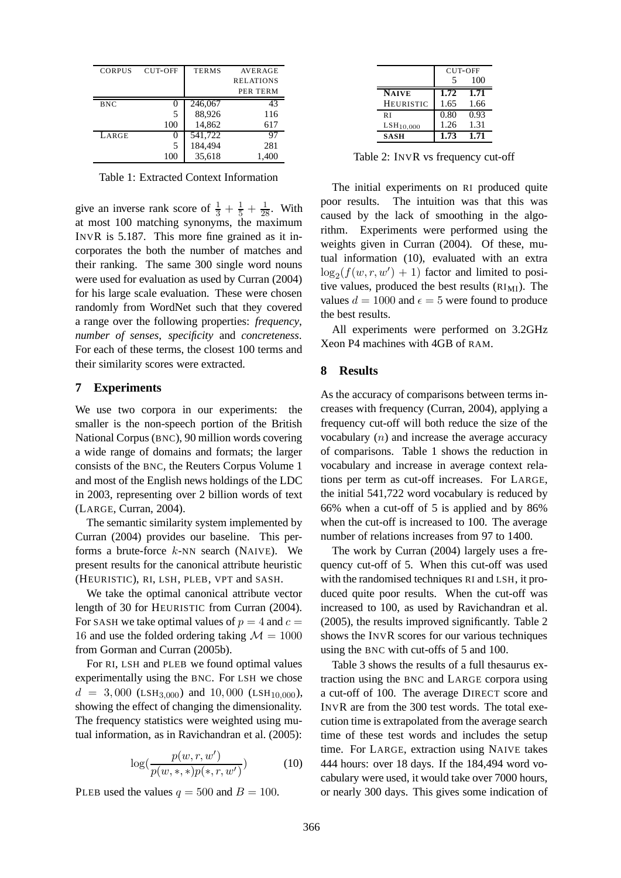| <b>CORPUS</b> | <b>CUT-OFF</b> | <b>TERMS</b> | <b>AVERAGE</b>   |
|---------------|----------------|--------------|------------------|
|               |                |              | <b>RELATIONS</b> |
|               |                |              | PER TERM         |
| <b>BNC</b>    | $^{()}$        | 246,067      | 43               |
|               | 5              | 88,926       | 116              |
|               | 100            | 14,862       | 617              |
| LARGE         | $_{0}$         | 541,722      | 97               |
|               | 5              | 184,494      | 281              |
|               | 100            | 35,618       | 1,400            |

Table 1: Extracted Context Information

give an inverse rank score of  $\frac{1}{3} + \frac{1}{5} + \frac{1}{28}$ . With at most 100 matching synonyms, the maximum INVR is 5.187. This more fine grained as it incorporates the both the number of matches and their ranking. The same 300 single word nouns were used for evaluation as used by Curran (2004) for his large scale evaluation. These were chosen randomly from WordNet such that they covered a range over the following properties: *frequency*, *number of senses*, *specificity* and *concreteness*. For each of these terms, the closest 100 terms and their similarity scores were extracted.

## **7 Experiments**

We use two corpora in our experiments: the smaller is the non-speech portion of the British National Corpus (BNC), 90 million words covering a wide range of domains and formats; the larger consists of the BNC, the Reuters Corpus Volume 1 and most of the English news holdings of the LDC in 2003, representing over 2 billion words of text (LARGE, Curran, 2004).

The semantic similarity system implemented by Curran (2004) provides our baseline. This performs a brute-force  $k$ -NN search (NAIVE). We present results for the canonical attribute heuristic (HEURISTIC), RI, LSH, PLEB, VPT and SASH.

We take the optimal canonical attribute vector length of 30 for HEURISTIC from Curran (2004). For SASH we take optimal values of  $p = 4$  and  $c =$ 16 and use the folded ordering taking  $\mathcal{M} = 1000$ from Gorman and Curran (2005b).

For RI, LSH and PLEB we found optimal values experimentally using the BNC. For LSH we chose  $d = 3,000$  (LSH<sub>3,000</sub>) and 10,000 (LSH<sub>10,000</sub>), showing the effect of changing the dimensionality. The frequency statistics were weighted using mutual information, as in Ravichandran et al. (2005):

$$
\log(\frac{p(w,r,w')}{p(w,*,*)p(*,r,w')})\tag{10}
$$

PLEB used the values  $q = 500$  and  $B = 100$ .

|                       | <b>CUT-OFF</b> |      |
|-----------------------|----------------|------|
|                       | 5              | 100  |
| <b>NAIVE</b>          | 1.72           | 1.71 |
| <b>HEURISTIC</b>      | 1.65           | 1.66 |
| RI                    | 0.80           | 0.93 |
| LSH <sub>10,000</sub> | 1.26           | 1.31 |
| <b>SASH</b>           | 1.73           | 1.71 |

Table 2: INVR vs frequency cut-off

The initial experiments on RI produced quite poor results. The intuition was that this was caused by the lack of smoothing in the algorithm. Experiments were performed using the weights given in Curran (2004). Of these, mutual information (10), evaluated with an extra  $\log_2(f(w, r, w') + 1)$  factor and limited to positive values, produced the best results  $(RI<sub>MI</sub>)$ . The values  $d = 1000$  and  $\epsilon = 5$  were found to produce the best results.

All experiments were performed on 3.2GHz Xeon P4 machines with 4GB of RAM.

### **8 Results**

As the accuracy of comparisons between terms increases with frequency (Curran, 2004), applying a frequency cut-off will both reduce the size of the vocabulary  $(n)$  and increase the average accuracy of comparisons. Table 1 shows the reduction in vocabulary and increase in average context relations per term as cut-off increases. For LARGE, the initial 541,722 word vocabulary is reduced by 66% when a cut-off of 5 is applied and by 86% when the cut-off is increased to 100. The average number of relations increases from 97 to 1400.

The work by Curran (2004) largely uses a frequency cut-off of 5. When this cut-off was used with the randomised techniques RI and LSH, it produced quite poor results. When the cut-off was increased to 100, as used by Ravichandran et al. (2005), the results improved significantly. Table 2 shows the INVR scores for our various techniques using the BNC with cut-offs of 5 and 100.

Table 3 shows the results of a full thesaurus extraction using the BNC and LARGE corpora using a cut-off of 100. The average DIRECT score and INVR are from the 300 test words. The total execution time is extrapolated from the average search time of these test words and includes the setup time. For LARGE, extraction using NAIVE takes 444 hours: over 18 days. If the 184,494 word vocabulary were used, it would take over 7000 hours, or nearly 300 days. This gives some indication of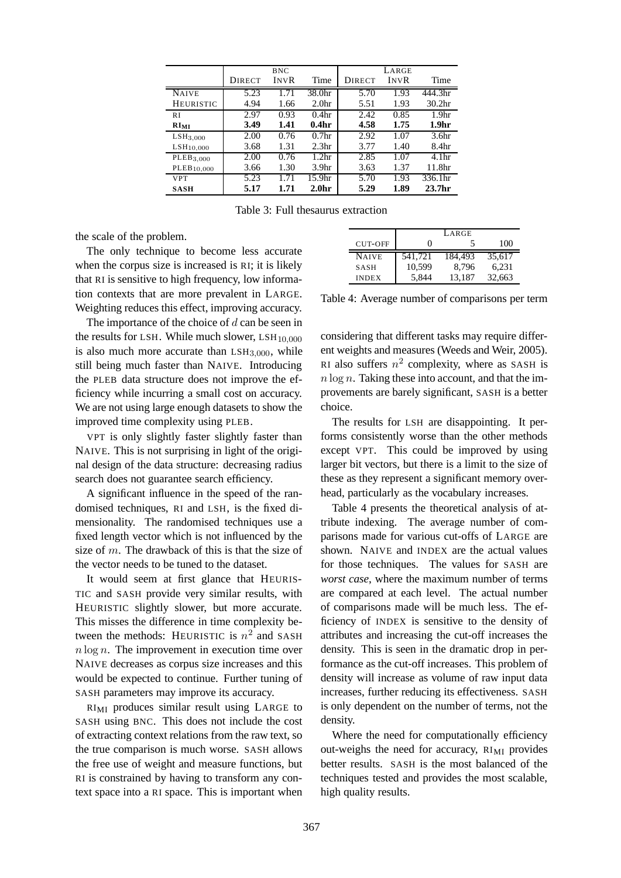|                        | <b>BNC</b>    |             |                   | LARGE         |             |                    |
|------------------------|---------------|-------------|-------------------|---------------|-------------|--------------------|
|                        | <b>DIRECT</b> | <b>INVR</b> | Time              | <b>DIRECT</b> | <b>INVR</b> | Time               |
| <b>NAIVE</b>           | 5.23          | 1.71        | 38.0hr            | 5.70          | 1.93        | 444.3hr            |
| <b>HEURISTIC</b>       | 4.94          | 1.66        | 2.0 <sub>hr</sub> | 5.51          | 1.93        | 30.2 <sub>hr</sub> |
| R I                    | 2.97          | 0.93        | 0.4 <sub>hr</sub> | 2.42          | 0.85        | 1.9 <sub>hr</sub>  |
| RI <sub>MI</sub>       | 3.49          | 1.41        | 0.4 <sub>hr</sub> | 4.58          | 1.75        | 1.9 <sub>hr</sub>  |
| $LSH_{3,000}$          | 2.00          | 0.76        | 0.7 <sub>hr</sub> | 2.92          | 1.07        | 3.6 <sub>hr</sub>  |
| LSH <sub>10,000</sub>  | 3.68          | 1.31        | 2.3 <sub>hr</sub> | 3.77          | 1.40        | 8.4 <sub>hr</sub>  |
| PLEB <sub>3,000</sub>  | 2.00          | 0.76        | 1.2 <sub>hr</sub> | 2.85          | 1.07        | 4.1 <sub>hr</sub>  |
| PLEB <sub>10,000</sub> | 3.66          | 1.30        | 3.9 <sub>hr</sub> | 3.63          | 1.37        | 11.8hr             |
| <b>VPT</b>             | 5.23          | 1.71        | 15.9hr            | 5.70          | 1.93        | 336.1hr            |
| <b>SASH</b>            | 5.17          | 1.71        | 2.0 <sub>hr</sub> | 5.29          | 1.89        | 23.7 <sub>hr</sub> |

Table 3: Full thesaurus extraction

the scale of the problem.

The only technique to become less accurate when the corpus size is increased is RI; it is likely that RI is sensitive to high frequency, low information contexts that are more prevalent in LARGE. Weighting reduces this effect, improving accuracy.

The importance of the choice of  $d$  can be seen in the results for LSH. While much slower,  $LSH_{10,000}$ is also much more accurate than  $LSH_{3,000}$ , while still being much faster than NAIVE. Introducing the PLEB data structure does not improve the efficiency while incurring a small cost on accuracy. We are not using large enough datasets to show the improved time complexity using PLEB.

VPT is only slightly faster slightly faster than NAIVE. This is not surprising in light of the original design of the data structure: decreasing radius search does not guarantee search efficiency.

A significant influence in the speed of the randomised techniques, RI and LSH, is the fixed dimensionality. The randomised techniques use a fixed length vector which is not influenced by the size of m. The drawback of this is that the size of the vector needs to be tuned to the dataset.

It would seem at first glance that HEURIS-TIC and SASH provide very similar results, with HEURISTIC slightly slower, but more accurate. This misses the difference in time complexity between the methods: HEURISTIC is  $n^2$  and SASH  $n \log n$ . The improvement in execution time over NAIVE decreases as corpus size increases and this would be expected to continue. Further tuning of SASH parameters may improve its accuracy.

RIMI produces similar result using LARGE to SASH using BNC. This does not include the cost of extracting context relations from the raw text, so the true comparison is much worse. SASH allows the free use of weight and measure functions, but RI is constrained by having to transform any context space into a RI space. This is important when

|                | LARGE             |         |        |  |
|----------------|-------------------|---------|--------|--|
| <b>CUT-OFF</b> | $\mathbf{\Omega}$ |         | 100    |  |
| <b>NAIVE</b>   | 541,721           | 184.493 | 35,617 |  |
| <b>SASH</b>    | 10,599            | 8.796   | 6.231  |  |
| <b>INDEX</b>   | 5.844             | 13.187  | 32,663 |  |

Table 4: Average number of comparisons per term

considering that different tasks may require different weights and measures (Weeds and Weir, 2005). RI also suffers  $n^2$  complexity, where as SASH is  $n \log n$ . Taking these into account, and that the improvements are barely significant, SASH is a better choice.

The results for LSH are disappointing. It performs consistently worse than the other methods except VPT. This could be improved by using larger bit vectors, but there is a limit to the size of these as they represent a significant memory overhead, particularly as the vocabulary increases.

Table 4 presents the theoretical analysis of attribute indexing. The average number of comparisons made for various cut-offs of LARGE are shown. NAIVE and INDEX are the actual values for those techniques. The values for SASH are *worst case*, where the maximum number of terms are compared at each level. The actual number of comparisons made will be much less. The efficiency of INDEX is sensitive to the density of attributes and increasing the cut-off increases the density. This is seen in the dramatic drop in performance as the cut-off increases. This problem of density will increase as volume of raw input data increases, further reducing its effectiveness. SASH is only dependent on the number of terms, not the density.

Where the need for computationally efficiency out-weighs the need for accuracy,  $RI_{MI}$  provides better results. SASH is the most balanced of the techniques tested and provides the most scalable, high quality results.